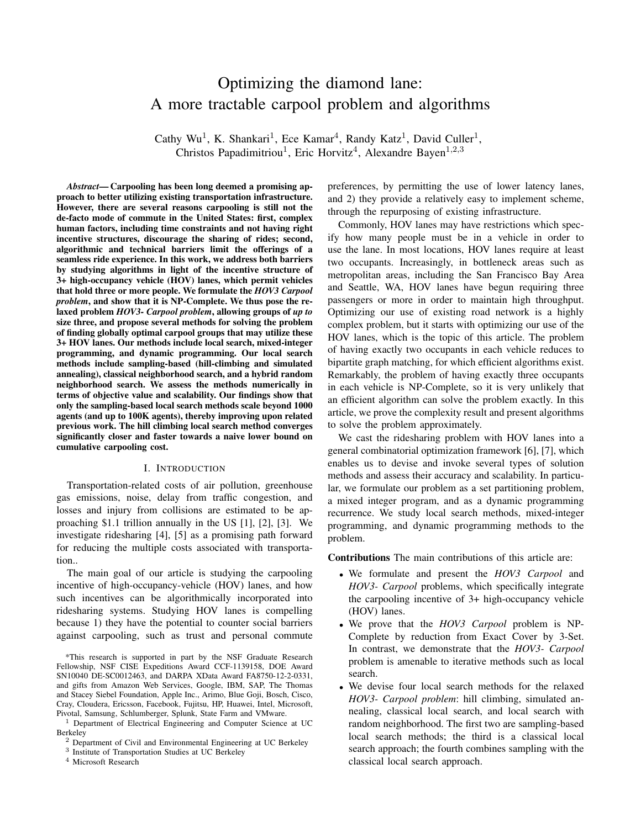# Optimizing the diamond lane: A more tractable carpool problem and algorithms

Cathy Wu<sup>1</sup>, K. Shankari<sup>1</sup>, Ece Kamar<sup>4</sup>, Randy Katz<sup>1</sup>, David Culler<sup>1</sup>, Christos Papadimitriou<sup>1</sup>, Eric Horvitz<sup>4</sup>, Alexandre Bayen<sup>1,2,3</sup>

*Abstract*— Carpooling has been long deemed a promising approach to better utilizing existing transportation infrastructure. However, there are several reasons carpooling is still not the de-facto mode of commute in the United States: first, complex human factors, including time constraints and not having right incentive structures, discourage the sharing of rides; second, algorithmic and technical barriers limit the offerings of a seamless ride experience. In this work, we address both barriers by studying algorithms in light of the incentive structure of 3+ high-occupancy vehicle (HOV) lanes, which permit vehicles that hold three or more people. We formulate the *HOV3 Carpool problem*, and show that it is NP-Complete. We thus pose the relaxed problem *HOV3- Carpool problem*, allowing groups of *up to* size three, and propose several methods for solving the problem of finding globally optimal carpool groups that may utilize these 3+ HOV lanes. Our methods include local search, mixed-integer programming, and dynamic programming. Our local search methods include sampling-based (hill-climbing and simulated annealing), classical neighborhood search, and a hybrid random neighborhood search. We assess the methods numerically in terms of objective value and scalability. Our findings show that only the sampling-based local search methods scale beyond 1000 agents (and up to 100K agents), thereby improving upon related previous work. The hill climbing local search method converges significantly closer and faster towards a naive lower bound on cumulative carpooling cost.

#### I. INTRODUCTION

Transportation-related costs of air pollution, greenhouse gas emissions, noise, delay from traffic congestion, and losses and injury from collisions are estimated to be approaching \$1.1 trillion annually in the US [1], [2], [3]. We investigate ridesharing [4], [5] as a promising path forward for reducing the multiple costs associated with transportation..

The main goal of our article is studying the carpooling incentive of high-occupancy-vehicle (HOV) lanes, and how such incentives can be algorithmically incorporated into ridesharing systems. Studying HOV lanes is compelling because 1) they have the potential to counter social barriers against carpooling, such as trust and personal commute

\*This research is supported in part by the NSF Graduate Research Fellowship, NSF CISE Expeditions Award CCF-1139158, DOE Award SN10040 DE-SC0012463, and DARPA XData Award FA8750-12-2-0331, and gifts from Amazon Web Services, Google, IBM, SAP, The Thomas and Stacey Siebel Foundation, Apple Inc., Arimo, Blue Goji, Bosch, Cisco, Cray, Cloudera, Ericsson, Facebook, Fujitsu, HP, Huawei, Intel, Microsoft, Pivotal, Samsung, Schlumberger, Splunk, State Farm and VMware.

<sup>1</sup> Department of Electrical Engineering and Computer Science at UC Berkeley

3 Institute of Transportation Studies at UC Berkeley

<sup>4</sup> Microsoft Research

preferences, by permitting the use of lower latency lanes, and 2) they provide a relatively easy to implement scheme, through the repurposing of existing infrastructure.

Commonly, HOV lanes may have restrictions which specify how many people must be in a vehicle in order to use the lane. In most locations, HOV lanes require at least two occupants. Increasingly, in bottleneck areas such as metropolitan areas, including the San Francisco Bay Area and Seattle, WA, HOV lanes have begun requiring three passengers or more in order to maintain high throughput. Optimizing our use of existing road network is a highly complex problem, but it starts with optimizing our use of the HOV lanes, which is the topic of this article. The problem of having exactly two occupants in each vehicle reduces to bipartite graph matching, for which efficient algorithms exist. Remarkably, the problem of having exactly three occupants in each vehicle is NP-Complete, so it is very unlikely that an efficient algorithm can solve the problem exactly. In this article, we prove the complexity result and present algorithms to solve the problem approximately.

We cast the ridesharing problem with HOV lanes into a general combinatorial optimization framework [6], [7], which enables us to devise and invoke several types of solution methods and assess their accuracy and scalability. In particular, we formulate our problem as a set partitioning problem, a mixed integer program, and as a dynamic programming recurrence. We study local search methods, mixed-integer programming, and dynamic programming methods to the problem.

Contributions The main contributions of this article are:

- We formulate and present the *HOV3 Carpool* and *HOV3- Carpool* problems, which specifically integrate the carpooling incentive of 3+ high-occupancy vehicle (HOV) lanes.
- We prove that the *HOV3 Carpool* problem is NP-Complete by reduction from Exact Cover by 3-Set. In contrast, we demonstrate that the *HOV3- Carpool* problem is amenable to iterative methods such as local search.
- We devise four local search methods for the relaxed *HOV3- Carpool problem*: hill climbing, simulated annealing, classical local search, and local search with random neighborhood. The first two are sampling-based local search methods; the third is a classical local search approach; the fourth combines sampling with the classical local search approach.

<sup>2</sup> Department of Civil and Environmental Engineering at UC Berkeley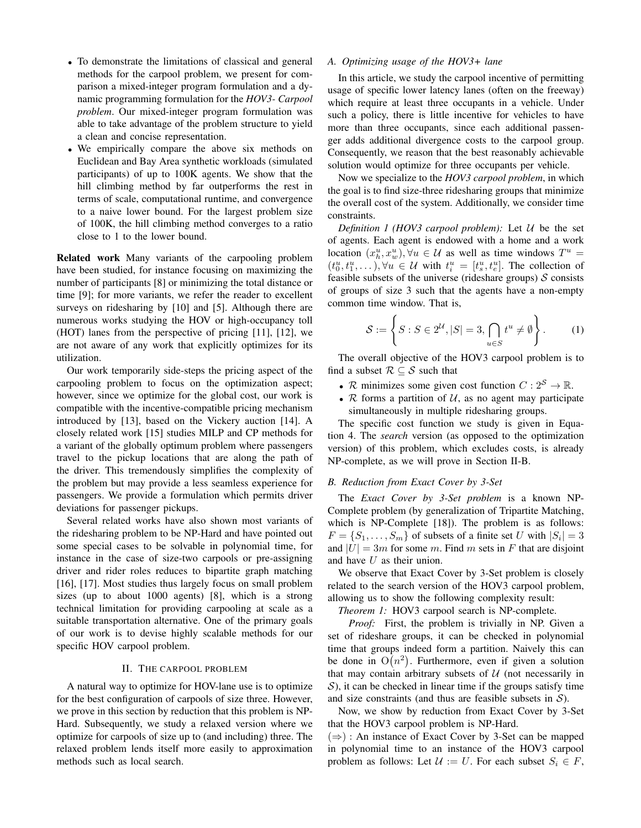- To demonstrate the limitations of classical and general methods for the carpool problem, we present for comparison a mixed-integer program formulation and a dynamic programming formulation for the *HOV3- Carpool problem*. Our mixed-integer program formulation was able to take advantage of the problem structure to yield a clean and concise representation.
- We empirically compare the above six methods on Euclidean and Bay Area synthetic workloads (simulated participants) of up to 100K agents. We show that the hill climbing method by far outperforms the rest in terms of scale, computational runtime, and convergence to a naive lower bound. For the largest problem size of 100K, the hill climbing method converges to a ratio close to 1 to the lower bound.

Related work Many variants of the carpooling problem have been studied, for instance focusing on maximizing the number of participants [8] or minimizing the total distance or time [9]; for more variants, we refer the reader to excellent surveys on ridesharing by [10] and [5]. Although there are numerous works studying the HOV or high-occupancy toll (HOT) lanes from the perspective of pricing [11], [12], we are not aware of any work that explicitly optimizes for its utilization.

Our work temporarily side-steps the pricing aspect of the carpooling problem to focus on the optimization aspect; however, since we optimize for the global cost, our work is compatible with the incentive-compatible pricing mechanism introduced by [13], based on the Vickery auction [14]. A closely related work [15] studies MILP and CP methods for a variant of the globally optimum problem where passengers travel to the pickup locations that are along the path of the driver. This tremendously simplifies the complexity of the problem but may provide a less seamless experience for passengers. We provide a formulation which permits driver deviations for passenger pickups.

Several related works have also shown most variants of the ridesharing problem to be NP-Hard and have pointed out some special cases to be solvable in polynomial time, for instance in the case of size-two carpools or pre-assigning driver and rider roles reduces to bipartite graph matching [16], [17]. Most studies thus largely focus on small problem sizes (up to about 1000 agents) [8], which is a strong technical limitation for providing carpooling at scale as a suitable transportation alternative. One of the primary goals of our work is to devise highly scalable methods for our specific HOV carpool problem.

## II. THE CARPOOL PROBLEM

A natural way to optimize for HOV-lane use is to optimize for the best configuration of carpools of size three. However, we prove in this section by reduction that this problem is NP-Hard. Subsequently, we study a relaxed version where we optimize for carpools of size up to (and including) three. The relaxed problem lends itself more easily to approximation methods such as local search.

## *A. Optimizing usage of the HOV3+ lane*

In this article, we study the carpool incentive of permitting usage of specific lower latency lanes (often on the freeway) which require at least three occupants in a vehicle. Under such a policy, there is little incentive for vehicles to have more than three occupants, since each additional passenger adds additional divergence costs to the carpool group. Consequently, we reason that the best reasonably achievable solution would optimize for three occupants per vehicle.

Now we specialize to the *HOV3 carpool problem*, in which the goal is to find size-three ridesharing groups that minimize the overall cost of the system. Additionally, we consider time constraints.

*Definition 1 (HOV3 carpool problem):* Let  $U$  be the set of agents. Each agent is endowed with a home and a work location  $(x_h^u, x_w^u)$ ,  $\forall u \in \mathcal{U}$  as well as time windows  $T^u$  =  $(t_0^u, t_1^u, \ldots), \forall u \in \mathcal{U}$  with  $t_i^u = [t_s^u, t_e^u]$ . The collection of feasible subsets of the universe (rideshare groups)  $S$  consists of groups of size 3 such that the agents have a non-empty common time window. That is,

$$
\mathcal{S} := \left\{ S : S \in 2^{\mathcal{U}}, |S| = 3, \bigcap_{u \in S} t^u \neq \emptyset \right\}.
$$
 (1)

The overall objective of the HOV3 carpool problem is to find a subset  $\mathcal{R} \subseteq \mathcal{S}$  such that

- R minimizes some given cost function  $C: 2^S \to \mathbb{R}$ .
- $R$  forms a partition of  $U$ , as no agent may participate simultaneously in multiple ridesharing groups.

The specific cost function we study is given in Equation 4. The *search* version (as opposed to the optimization version) of this problem, which excludes costs, is already NP-complete, as we will prove in Section II-B.

## *B. Reduction from Exact Cover by 3-Set*

The *Exact Cover by 3-Set problem* is a known NP-Complete problem (by generalization of Tripartite Matching, which is NP-Complete [18]). The problem is as follows:  $F = \{S_1, \ldots, S_m\}$  of subsets of a finite set U with  $|S_i| = 3$ and  $|U| = 3m$  for some m. Find m sets in F that are disjoint and have  $U$  as their union.

We observe that Exact Cover by 3-Set problem is closely related to the search version of the HOV3 carpool problem, allowing us to show the following complexity result:

*Theorem 1:* HOV3 carpool search is NP-complete.

*Proof:* First, the problem is trivially in NP. Given a set of rideshare groups, it can be checked in polynomial time that groups indeed form a partition. Naively this can be done in  $O(n^2)$ . Furthermore, even if given a solution that may contain arbitrary subsets of  $U$  (not necessarily in  $\mathcal{S}$ ), it can be checked in linear time if the groups satisfy time and size constraints (and thus are feasible subsets in  $S$ ).

Now, we show by reduction from Exact Cover by 3-Set that the HOV3 carpool problem is NP-Hard.

 $(\Rightarrow)$ : An instance of Exact Cover by 3-Set can be mapped in polynomial time to an instance of the HOV3 carpool problem as follows: Let  $\mathcal{U} := U$ . For each subset  $S_i \in F$ ,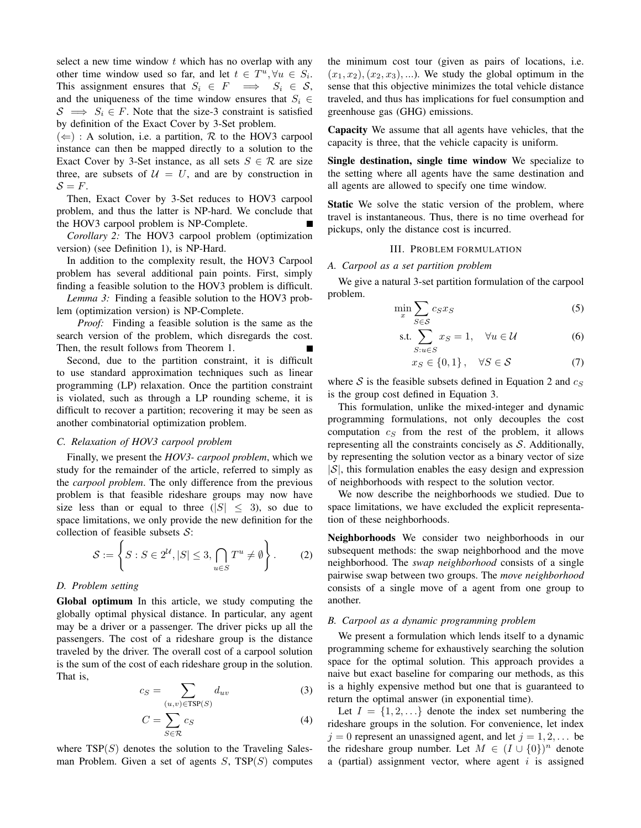select a new time window  $t$  which has no overlap with any other time window used so far, and let  $t \in T^u, \forall u \in S_i$ . This assignment ensures that  $S_i \in F \implies S_i \in S$ , and the uniqueness of the time window ensures that  $S_i \in$  $S \implies S_i \in F$ . Note that the size-3 constraint is satisfied by definition of the Exact Cover by 3-Set problem.

 $(\Leftarrow)$ : A solution, i.e. a partition, R to the HOV3 carpool instance can then be mapped directly to a solution to the Exact Cover by 3-Set instance, as all sets  $S \in \mathcal{R}$  are size three, are subsets of  $U = U$ , and are by construction in  $S = F$ .

Then, Exact Cover by 3-Set reduces to HOV3 carpool problem, and thus the latter is NP-hard. We conclude that the HOV3 carpool problem is NP-Complete.

*Corollary 2:* The HOV3 carpool problem (optimization version) (see Definition 1), is NP-Hard.

In addition to the complexity result, the HOV3 Carpool problem has several additional pain points. First, simply finding a feasible solution to the HOV3 problem is difficult.

*Lemma 3:* Finding a feasible solution to the HOV3 problem (optimization version) is NP-Complete.

*Proof:* Finding a feasible solution is the same as the search version of the problem, which disregards the cost. Then, the result follows from Theorem 1.

Second, due to the partition constraint, it is difficult to use standard approximation techniques such as linear programming (LP) relaxation. Once the partition constraint is violated, such as through a LP rounding scheme, it is difficult to recover a partition; recovering it may be seen as another combinatorial optimization problem.

## *C. Relaxation of HOV3 carpool problem*

Finally, we present the *HOV3- carpool problem*, which we study for the remainder of the article, referred to simply as the *carpool problem*. The only difference from the previous problem is that feasible rideshare groups may now have size less than or equal to three  $(|S| \leq 3)$ , so due to space limitations, we only provide the new definition for the collection of feasible subsets  $S$ :

$$
\mathcal{S} := \left\{ S : S \in 2^{\mathcal{U}}, |S| \le 3, \bigcap_{u \in S} T^u \neq \emptyset \right\}.
$$
 (2)

# *D. Problem setting*

Global optimum In this article, we study computing the globally optimal physical distance. In particular, any agent may be a driver or a passenger. The driver picks up all the passengers. The cost of a rideshare group is the distance traveled by the driver. The overall cost of a carpool solution is the sum of the cost of each rideshare group in the solution. That is,

$$
c_S = \sum_{(u,v)\in TSP(S)} d_{uv} \tag{3}
$$

$$
C = \sum_{S \in \mathcal{R}} c_S \tag{4}
$$

where  $TSP(S)$  denotes the solution to the Traveling Salesman Problem. Given a set of agents  $S$ ,  $TSP(S)$  computes the minimum cost tour (given as pairs of locations, i.e.  $(x_1, x_2), (x_2, x_3), \ldots$ . We study the global optimum in the sense that this objective minimizes the total vehicle distance traveled, and thus has implications for fuel consumption and greenhouse gas (GHG) emissions.

Capacity We assume that all agents have vehicles, that the capacity is three, that the vehicle capacity is uniform.

Single destination, single time window We specialize to the setting where all agents have the same destination and all agents are allowed to specify one time window.

Static We solve the static version of the problem, where travel is instantaneous. Thus, there is no time overhead for pickups, only the distance cost is incurred.

#### III. PROBLEM FORMULATION

*A. Carpool as a set partition problem*

We give a natural 3-set partition formulation of the carpool problem.

$$
\min_{x} \sum_{S \in \mathcal{S}} c_S x_S \tag{5}
$$

$$
\text{s.t.} \sum_{S: u \in S} x_S = 1, \quad \forall u \in \mathcal{U} \tag{6}
$$

$$
x_S \in \{0, 1\}, \quad \forall S \in \mathcal{S} \tag{7}
$$

where S is the feasible subsets defined in Equation 2 and  $c_S$ is the group cost defined in Equation 3.

This formulation, unlike the mixed-integer and dynamic programming formulations, not only decouples the cost computation  $c_S$  from the rest of the problem, it allows representing all the constraints concisely as  $S$ . Additionally, by representing the solution vector as a binary vector of size  $|S|$ , this formulation enables the easy design and expression of neighborhoods with respect to the solution vector.

We now describe the neighborhoods we studied. Due to space limitations, we have excluded the explicit representation of these neighborhoods.

Neighborhoods We consider two neighborhoods in our subsequent methods: the swap neighborhood and the move neighborhood. The *swap neighborhood* consists of a single pairwise swap between two groups. The *move neighborhood* consists of a single move of a agent from one group to another.

## *B. Carpool as a dynamic programming problem*

We present a formulation which lends itself to a dynamic programming scheme for exhaustively searching the solution space for the optimal solution. This approach provides a naive but exact baseline for comparing our methods, as this is a highly expensive method but one that is guaranteed to return the optimal answer (in exponential time).

Let  $I = \{1, 2, ...\}$  denote the index set numbering the rideshare groups in the solution. For convenience, let index  $j = 0$  represent an unassigned agent, and let  $j = 1, 2, \ldots$  be the rideshare group number. Let  $M \in (I \cup \{0\})^n$  denote a (partial) assignment vector, where agent  $i$  is assigned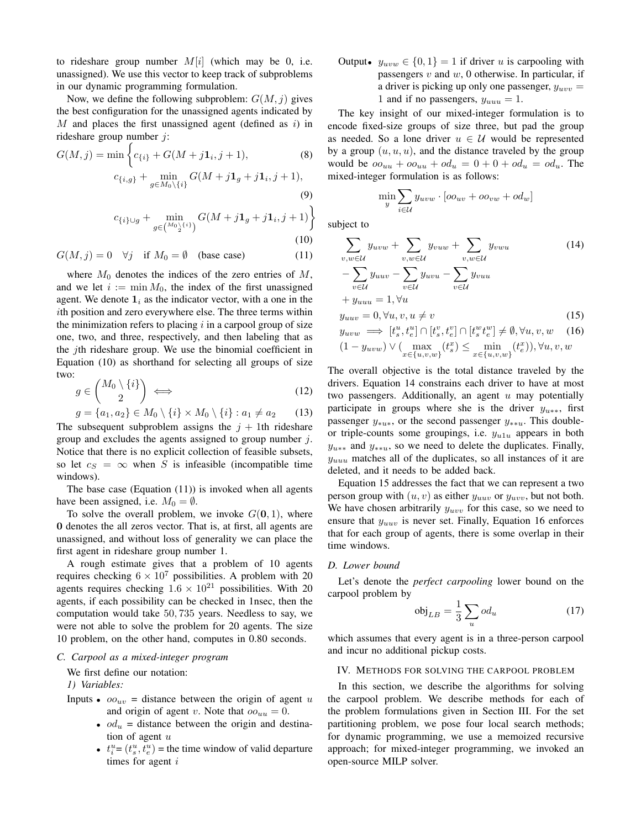to rideshare group number  $M[i]$  (which may be 0, i.e. unassigned). We use this vector to keep track of subproblems in our dynamic programming formulation.

Now, we define the following subproblem:  $G(M, j)$  gives the best configuration for the unassigned agents indicated by  $M$  and places the first unassigned agent (defined as  $i$ ) in rideshare group number j:

$$
G(M, j) = \min \left\{ c_{\{i\}} + G(M + j\mathbf{1}_i, j+1), \right\}
$$
\n
$$
c_{\{i,g\}} + \min_{g \in M_0 \setminus \{i\}} G(M + j\mathbf{1}_g + j\mathbf{1}_i, j+1), \right\}
$$
\n(9)

$$
f_{\rm{max}}
$$

$$
c_{\{i\}\cup g} + \min_{g \in \binom{M_0 \setminus \{i\}}{2}} G(M + j\mathbf{1}_g + j\mathbf{1}_i, j+1)
$$
\n(10)

$$
G(M, j) = 0 \quad \forall j \quad \text{if } M_0 = \emptyset \quad \text{(base case)} \tag{11}
$$

where  $M_0$  denotes the indices of the zero entries of  $M$ , and we let  $i := \min M_0$ , the index of the first unassigned agent. We denote  $\mathbf{1}_i$  as the indicator vector, with a one in the ith position and zero everywhere else. The three terms within the minimization refers to placing  $i$  in a carpool group of size one, two, and three, respectively, and then labeling that as the jth rideshare group. We use the binomial coefficient in Equation (10) as shorthand for selecting all groups of size two:

$$
g \in \binom{M_0 \setminus \{i\}}{2} \iff \tag{12}
$$

$$
g = \{a_1, a_2\} \in M_0 \setminus \{i\} \times M_0 \setminus \{i\} : a_1 \neq a_2
$$
 (13)  
\nThe subsequent subproblem assigns the  $j + 1$ th rideshare  
\ngroup and excludes the agents assigned to group number  $j$ .  
\nNotice that there is no explicit collection of feasible subsets,  
\nso let  $c_S = \infty$  when  $S$  is infeasible (incompatible time  
\nwindows).

The base case (Equation  $(11)$ ) is invoked when all agents have been assigned, i.e.  $M_0 = \emptyset$ .

To solve the overall problem, we invoke  $G(0, 1)$ , where 0 denotes the all zeros vector. That is, at first, all agents are unassigned, and without loss of generality we can place the first agent in rideshare group number 1.

A rough estimate gives that a problem of 10 agents requires checking  $6 \times 10^7$  possibilities. A problem with 20 agents requires checking  $1.6 \times 10^{21}$  possibilities. With 20 agents, if each possibility can be checked in 1nsec, then the computation would take 50, 735 years. Needless to say, we were not able to solve the problem for 20 agents. The size 10 problem, on the other hand, computes in 0.80 seconds.

# *C. Carpool as a mixed-integer program*

We first define our notation:

*1) Variables:*

InputStream of a point 
$$
\omega
$$
 and the origin of the point  $u$  and the origin of the point  $v$ .

\nNote that  $\omega_{uu} = 0$ .

- $od_u$  = distance between the origin and destination of agent  $u$
- $t_i^u = (t_s^u, t_e^u)$  = the time window of valid departure times for agent i

Output•  $y_{uvw} \in \{0, 1\} = 1$  if driver u is carpooling with passengers  $v$  and  $w$ , 0 otherwise. In particular, if a driver is picking up only one passenger,  $y_{uvw}$  = 1 and if no passengers,  $y_{uuu} = 1$ .

The key insight of our mixed-integer formulation is to encode fixed-size groups of size three, but pad the group as needed. So a lone driver  $u \in \mathcal{U}$  would be represented by a group  $(u, u, u)$ , and the distance traveled by the group would be  $oo_{uu} + oo_{uu} + od_u = 0 + 0 + od_u = od_u$ . The mixed-integer formulation is as follows:

$$
\min_{y} \sum_{i \in \mathcal{U}} y_{uvw} \cdot [oo_{uv} + oo_{vw} + od_w]
$$

subject to

$$
\sum_{v,w \in \mathcal{U}} y_{uvw} + \sum_{v,w \in \mathcal{U}} y_{vuw} + \sum_{v,w \in \mathcal{U}} y_{vwu}
$$
\n
$$
-\sum_{v \in \mathcal{U}} y_{uuv} - \sum_{v \in \mathcal{U}} y_{uvw} - \sum_{v \in \mathcal{U}} y_{vuu}
$$
\n
$$
+ y_{uuu} = 1, \forall u
$$
\n
$$
y_{uuv} = 0, \forall u, v, u \neq v
$$
\n(15)

$$
y_{uvw} \implies [t_s^u, t_e^u] \cap [t_s^v, t_e^v] \cap [t_s^w, t_e^w] \neq \emptyset, \forall u, v, w \quad (16)
$$
  

$$
(1 - y_{uvw}) \vee (\max_{x \in \{u, v, w\}} (t_s^x) \leq \min_{x \in \{u, v, w\}} (t_e^x)), \forall u, v, w
$$

The overall objective is the total distance traveled by the drivers. Equation 14 constrains each driver to have at most two passengers. Additionally, an agent  $u$  may potentially participate in groups where she is the driver  $y_{u**}$ , first passenger  $y_{\ast u \ast}$ , or the second passenger  $y_{\ast u}$ . This doubleor triple-counts some groupings, i.e.  $y_{u1u}$  appears in both  $y_{u**}$  and  $y_{u**}$ , so we need to delete the duplicates. Finally,  $y_{uuu}$  matches all of the duplicates, so all instances of it are deleted, and it needs to be added back.

Equation 15 addresses the fact that we can represent a two person group with  $(u, v)$  as either  $y_{uuv}$  or  $y_{uvv}$ , but not both. We have chosen arbitrarily  $y_{uvw}$  for this case, so we need to ensure that  $y_{uuv}$  is never set. Finally, Equation 16 enforces that for each group of agents, there is some overlap in their time windows.

## *D. Lower bound*

Let's denote the *perfect carpooling* lower bound on the carpool problem by

$$
\text{obj}_{LB} = \frac{1}{3} \sum_{u} o d_u \tag{17}
$$

which assumes that every agent is in a three-person carpool and incur no additional pickup costs.

#### IV. METHODS FOR SOLVING THE CARPOOL PROBLEM

In this section, we describe the algorithms for solving the carpool problem. We describe methods for each of the problem formulations given in Section III. For the set partitioning problem, we pose four local search methods; for dynamic programming, we use a memoized recursive approach; for mixed-integer programming, we invoked an open-source MILP solver.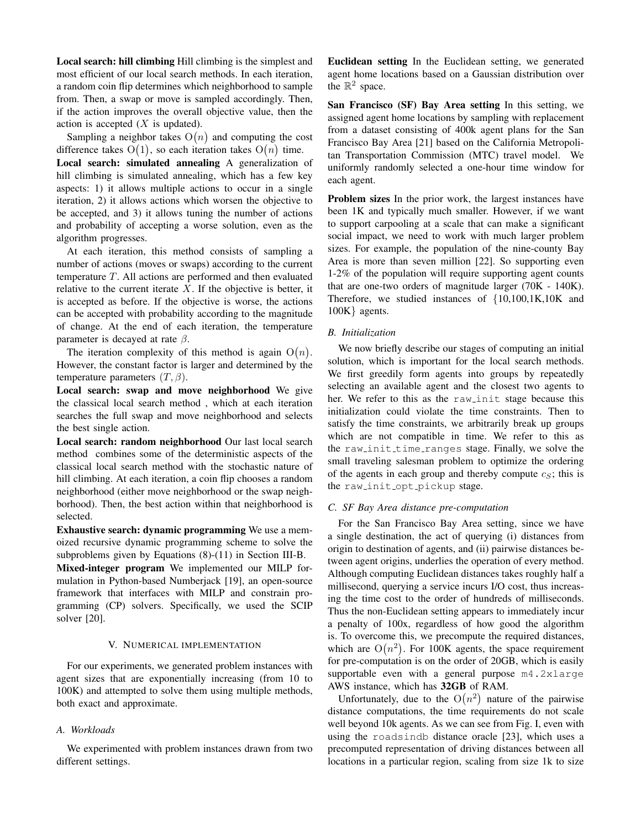Local search: hill climbing Hill climbing is the simplest and most efficient of our local search methods. In each iteration, a random coin flip determines which neighborhood to sample from. Then, a swap or move is sampled accordingly. Then, if the action improves the overall objective value, then the action is accepted  $(X$  is updated).

Sampling a neighbor takes  $O(n)$  and computing the cost difference takes  $O(1)$ , so each iteration takes  $O(n)$  time. Local search: simulated annealing A generalization of hill climbing is simulated annealing, which has a few key aspects: 1) it allows multiple actions to occur in a single iteration, 2) it allows actions which worsen the objective to be accepted, and 3) it allows tuning the number of actions and probability of accepting a worse solution, even as the algorithm progresses.

At each iteration, this method consists of sampling a number of actions (moves or swaps) according to the current temperature T. All actions are performed and then evaluated relative to the current iterate  $X$ . If the objective is better, it is accepted as before. If the objective is worse, the actions can be accepted with probability according to the magnitude of change. At the end of each iteration, the temperature parameter is decayed at rate  $\beta$ .

The iteration complexity of this method is again  $O(n)$ . However, the constant factor is larger and determined by the temperature parameters  $(T, \beta)$ .

Local search: swap and move neighborhood We give the classical local search method , which at each iteration searches the full swap and move neighborhood and selects the best single action.

Local search: random neighborhood Our last local search method combines some of the deterministic aspects of the classical local search method with the stochastic nature of hill climbing. At each iteration, a coin flip chooses a random neighborhood (either move neighborhood or the swap neighborhood). Then, the best action within that neighborhood is selected.

Exhaustive search: dynamic programming We use a memoized recursive dynamic programming scheme to solve the subproblems given by Equations (8)-(11) in Section III-B.

Mixed-integer program We implemented our MILP formulation in Python-based Numberjack [19], an open-source framework that interfaces with MILP and constrain programming (CP) solvers. Specifically, we used the SCIP solver [20].

## V. NUMERICAL IMPLEMENTATION

For our experiments, we generated problem instances with agent sizes that are exponentially increasing (from 10 to 100K) and attempted to solve them using multiple methods, both exact and approximate.

## *A. Workloads*

We experimented with problem instances drawn from two different settings.

Euclidean setting In the Euclidean setting, we generated agent home locations based on a Gaussian distribution over the  $\mathbb{R}^2$  space.

San Francisco (SF) Bay Area setting In this setting, we assigned agent home locations by sampling with replacement from a dataset consisting of 400k agent plans for the San Francisco Bay Area [21] based on the California Metropolitan Transportation Commission (MTC) travel model. We uniformly randomly selected a one-hour time window for each agent.

Problem sizes In the prior work, the largest instances have been 1K and typically much smaller. However, if we want to support carpooling at a scale that can make a significant social impact, we need to work with much larger problem sizes. For example, the population of the nine-county Bay Area is more than seven million [22]. So supporting even 1-2% of the population will require supporting agent counts that are one-two orders of magnitude larger (70K - 140K). Therefore, we studied instances of {10,100,1K,10K and 100K} agents.

## *B. Initialization*

We now briefly describe our stages of computing an initial solution, which is important for the local search methods. We first greedily form agents into groups by repeatedly selecting an available agent and the closest two agents to her. We refer to this as the raw init stage because this initialization could violate the time constraints. Then to satisfy the time constraints, we arbitrarily break up groups which are not compatible in time. We refer to this as the raw init time ranges stage. Finally, we solve the small traveling salesman problem to optimize the ordering of the agents in each group and thereby compute  $c_s$ ; this is the raw\_init\_opt\_pickup stage.

## *C. SF Bay Area distance pre-computation*

For the San Francisco Bay Area setting, since we have a single destination, the act of querying (i) distances from origin to destination of agents, and (ii) pairwise distances between agent origins, underlies the operation of every method. Although computing Euclidean distances takes roughly half a millisecond, querying a service incurs I/O cost, thus increasing the time cost to the order of hundreds of milliseconds. Thus the non-Euclidean setting appears to immediately incur a penalty of 100x, regardless of how good the algorithm is. To overcome this, we precompute the required distances, which are  $O(n^2)$ . For 100K agents, the space requirement for pre-computation is on the order of 20GB, which is easily supportable even with a general purpose m4.2xlarge AWS instance, which has 32GB of RAM.

Unfortunately, due to the  $O(n^2)$  nature of the pairwise distance computations, the time requirements do not scale well beyond 10k agents. As we can see from Fig. I, even with using the roadsindb distance oracle [23], which uses a precomputed representation of driving distances between all locations in a particular region, scaling from size 1k to size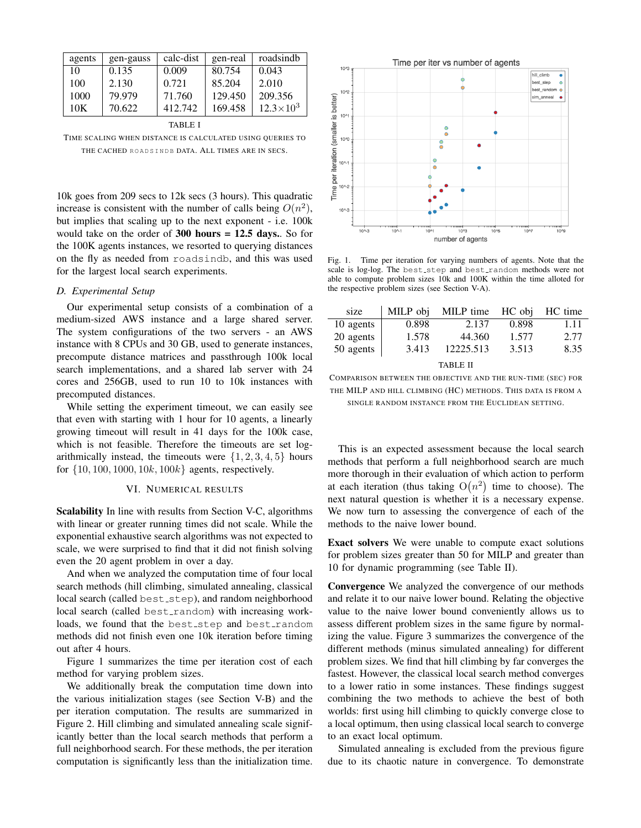| agents  | gen-gauss | calc-dist | gen-real | roadsindb          |  |  |  |
|---------|-----------|-----------|----------|--------------------|--|--|--|
| 10      | 0.135     | 0.009     | 80.754   | 0.043              |  |  |  |
| 100     | 2.130     | 0.721     | 85.204   | 2.010              |  |  |  |
| 1000    | 79.979    | 71.760    | 129.450  | 209.356            |  |  |  |
| 10K     | 70.622    | 412.742   | 169.458  | $12.3 \times 10^3$ |  |  |  |
| TABLE I |           |           |          |                    |  |  |  |

TIME SCALING WHEN DISTANCE IS CALCULATED USING QUERIES TO THE CACHED ROADSINDB DATA. ALL TIMES ARE IN SECS.

10k goes from 209 secs to 12k secs (3 hours). This quadratic increase is consistent with the number of calls being  $O(n^2)$ , but implies that scaling up to the next exponent - i.e. 100k would take on the order of 300 hours = 12.5 days.. So for the 100K agents instances, we resorted to querying distances on the fly as needed from roadsindb, and this was used for the largest local search experiments.

## *D. Experimental Setup*

Our experimental setup consists of a combination of a medium-sized AWS instance and a large shared server. The system configurations of the two servers - an AWS instance with 8 CPUs and 30 GB, used to generate instances, precompute distance matrices and passthrough 100k local search implementations, and a shared lab server with 24 cores and 256GB, used to run 10 to 10k instances with precomputed distances.

While setting the experiment timeout, we can easily see that even with starting with 1 hour for 10 agents, a linearly growing timeout will result in 41 days for the 100k case, which is not feasible. Therefore the timeouts are set logarithmically instead, the timeouts were  $\{1, 2, 3, 4, 5\}$  hours for  $\{10, 100, 1000, 10k, 100k\}$  agents, respectively.

# VI. NUMERICAL RESULTS

Scalability In line with results from Section V-C, algorithms with linear or greater running times did not scale. While the exponential exhaustive search algorithms was not expected to scale, we were surprised to find that it did not finish solving even the 20 agent problem in over a day.

And when we analyzed the computation time of four local search methods (hill climbing, simulated annealing, classical local search (called best\_step), and random neighborhood local search (called best random) with increasing workloads, we found that the best step and best random methods did not finish even one 10k iteration before timing out after 4 hours.

Figure 1 summarizes the time per iteration cost of each method for varying problem sizes.

We additionally break the computation time down into the various initialization stages (see Section V-B) and the per iteration computation. The results are summarized in Figure 2. Hill climbing and simulated annealing scale significantly better than the local search methods that perform a full neighborhood search. For these methods, the per iteration computation is significantly less than the initialization time.



Fig. 1. Time per iteration for varying numbers of agents. Note that the scale is log-log. The best step and best random methods were not able to compute problem sizes 10k and 100K within the time alloted for the respective problem sizes (see Section V-A).

| size            | MILP obj | MILP time | HC obi | HC time |  |  |  |
|-----------------|----------|-----------|--------|---------|--|--|--|
| 10 agents       | 0.898    | 2.137     | 0.898  | 1.11    |  |  |  |
| 20 agents       | 1.578    | 44.360    | 1.577  | 2.77    |  |  |  |
| 50 agents       | 3.413    | 12225.513 | 3.513  | 8.35    |  |  |  |
| <b>TABLE II</b> |          |           |        |         |  |  |  |

COMPARISON BETWEEN THE OBJECTIVE AND THE RUN-TIME (SEC) FOR THE MILP AND HILL CLIMBING (HC) METHODS. THIS DATA IS FROM A SINGLE RANDOM INSTANCE FROM THE EUCLIDEAN SETTING.

This is an expected assessment because the local search methods that perform a full neighborhood search are much more thorough in their evaluation of which action to perform at each iteration (thus taking  $O(n^2)$  time to choose). The next natural question is whether it is a necessary expense. We now turn to assessing the convergence of each of the methods to the naive lower bound.

Exact solvers We were unable to compute exact solutions for problem sizes greater than 50 for MILP and greater than 10 for dynamic programming (see Table II).

Convergence We analyzed the convergence of our methods and relate it to our naive lower bound. Relating the objective value to the naive lower bound conveniently allows us to assess different problem sizes in the same figure by normalizing the value. Figure 3 summarizes the convergence of the different methods (minus simulated annealing) for different problem sizes. We find that hill climbing by far converges the fastest. However, the classical local search method converges to a lower ratio in some instances. These findings suggest combining the two methods to achieve the best of both worlds: first using hill climbing to quickly converge close to a local optimum, then using classical local search to converge to an exact local optimum.

Simulated annealing is excluded from the previous figure due to its chaotic nature in convergence. To demonstrate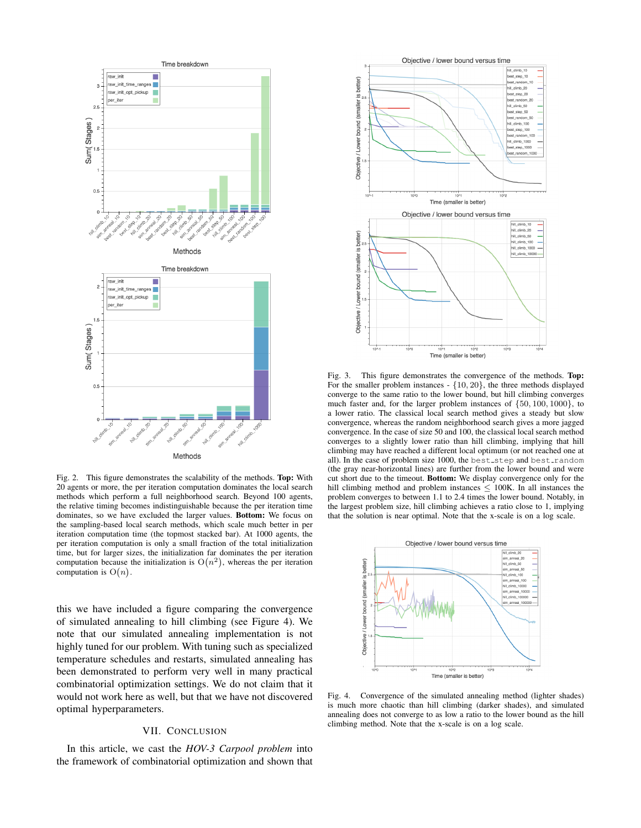

Fig. 2. This figure demonstrates the scalability of the methods. Top: With 20 agents or more, the per iteration computation dominates the local search methods which perform a full neighborhood search. Beyond 100 agents, the relative timing becomes indistinguishable because the per iteration time dominates, so we have excluded the larger values. Bottom: We focus on the sampling-based local search methods, which scale much better in per iteration computation time (the topmost stacked bar). At 1000 agents, the per iteration computation is only a small fraction of the total initialization time, but for larger sizes, the initialization far dominates the per iteration computation because the initialization is  $O(n^2)$ , whereas the per iteration computation is  $O(n)$ .

this we have included a figure comparing the convergence of simulated annealing to hill climbing (see Figure 4). We note that our simulated annealing implementation is not highly tuned for our problem. With tuning such as specialized temperature schedules and restarts, simulated annealing has been demonstrated to perform very well in many practical combinatorial optimization settings. We do not claim that it would not work here as well, but that we have not discovered optimal hyperparameters.

## VII. CONCLUSION

In this article, we cast the *HOV-3 Carpool problem* into the framework of combinatorial optimization and shown that



Fig. 3. This figure demonstrates the convergence of the methods. Top: For the smaller problem instances  $- \{10, 20\}$ , the three methods displayed converge to the same ratio to the lower bound, but hill climbing converges much faster and, for the larger problem instances of {50, 100, 1000}, to a lower ratio. The classical local search method gives a steady but slow convergence, whereas the random neighborhood search gives a more jagged convergence. In the case of size 50 and 100, the classical local search method converges to a slightly lower ratio than hill climbing, implying that hill climbing may have reached a different local optimum (or not reached one at all). In the case of problem size 1000, the best step and best random (the gray near-horizontal lines) are further from the lower bound and were cut short due to the timeout. Bottom: We display convergence only for the hill climbing method and problem instances  $\leq$  100K. In all instances the problem converges to between 1.1 to 2.4 times the lower bound. Notably, in the largest problem size, hill climbing achieves a ratio close to 1, implying that the solution is near optimal. Note that the x-scale is on a log scale.



Fig. 4. Convergence of the simulated annealing method (lighter shades) is much more chaotic than hill climbing (darker shades), and simulated annealing does not converge to as low a ratio to the lower bound as the hill climbing method. Note that the x-scale is on a log scale.